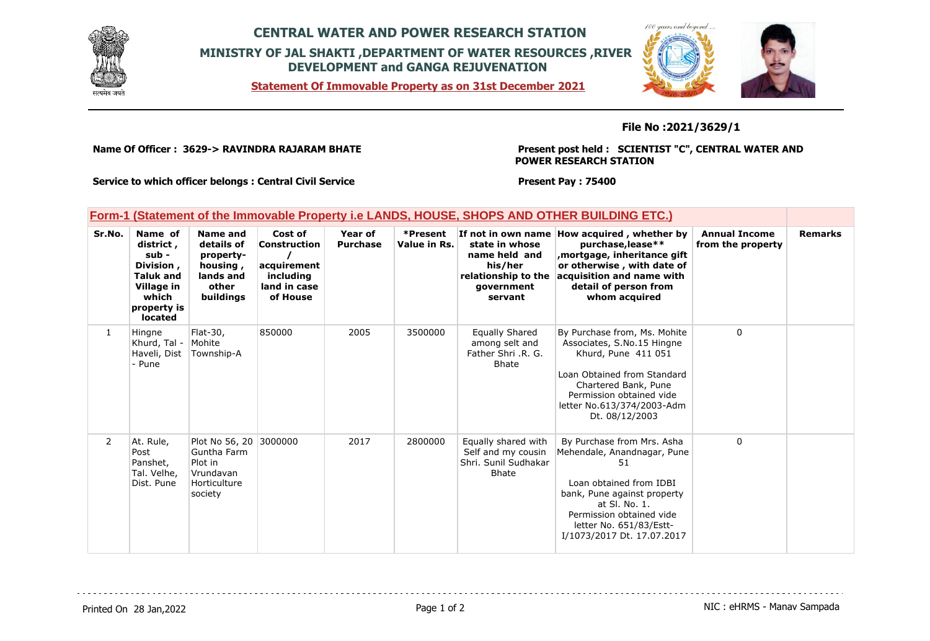

## **CENTRAL WATER AND POWER RESEARCH STATION MINISTRY OF JAL SHAKTI ,DEPARTMENT OF WATER RESOURCES ,RIVER DEVELOPMENT and GANGA REJUVENATION**

**Statement Of Immovable Property as on 31st December 2021**



**File No :2021/3629/1**

**Name Of Officer : 3629-> RAVINDRA RAJARAM BHATE** 

**Present post held : SCIENTIST "C", CENTRAL WATER AND POWER RESEARCH STATION**

**Service to which officer belongs : Central Civil Service**

**Present Pay : 75400**

|  |  | Form-1 (Statement of the Immovable Property i.e LANDS, HOUSE, SHOPS AND OTHER BUILDING ETC.) |  |
|--|--|----------------------------------------------------------------------------------------------|--|
|  |  |                                                                                              |  |

| Sr.No.         | Name of<br>district,<br>sub -<br>Division,<br><b>Taluk and</b><br>Village in<br>which<br>property is<br><b>located</b> | Name and<br>details of<br>property-<br>housing,<br>lands and<br>other<br>buildings | Cost of<br>Construction<br>acquirement<br>including<br>land in case<br>of House | Year of<br><b>Purchase</b> | *Present<br>Value in Rs. | If not in own name<br>state in whose<br>name held and<br>his/her<br>relationship to the<br>government<br>servant | How acquired, whether by<br>purchase, lease**<br>mortgage, inheritance gift,<br>or otherwise, with date of<br>acquisition and name with<br>detail of person from<br>whom acquired                                               | <b>Annual Income</b><br>from the property | <b>Remarks</b> |
|----------------|------------------------------------------------------------------------------------------------------------------------|------------------------------------------------------------------------------------|---------------------------------------------------------------------------------|----------------------------|--------------------------|------------------------------------------------------------------------------------------------------------------|---------------------------------------------------------------------------------------------------------------------------------------------------------------------------------------------------------------------------------|-------------------------------------------|----------------|
| $\mathbf{1}$   | Hingne<br>Khurd, Tal -<br>Haveli, Dist<br>- Pune                                                                       | Flat-30,<br>Mohite<br>Township-A                                                   | 850000                                                                          | 2005                       | 3500000                  | <b>Equally Shared</b><br>among selt and<br>Father Shri .R. G.<br><b>Bhate</b>                                    | By Purchase from, Ms. Mohite<br>Associates, S.No.15 Hingne<br>Khurd, Pune 411 051<br>Loan Obtained from Standard<br>Chartered Bank, Pune<br>Permission obtained vide<br>letter No.613/374/2003-Adm<br>Dt. 08/12/2003            | $\mathbf 0$                               |                |
| $\overline{2}$ | At. Rule,<br>Post<br>Panshet,<br>Tal. Velhe,<br>Dist. Pune                                                             | Plot No 56, 20<br>Guntha Farm<br>Plot in<br>Vrundavan<br>Horticulture<br>society   | 3000000                                                                         | 2017                       | 2800000                  | Equally shared with<br>Self and my cousin<br>Shri, Sunil Sudhakar<br><b>Bhate</b>                                | By Purchase from Mrs. Asha<br>Mehendale, Anandnagar, Pune<br>51<br>Loan obtained from IDBI<br>bank, Pune against property<br>at SI, No. 1.<br>Permission obtained vide<br>letter No. 651/83/Estt-<br>I/1073/2017 Dt. 17.07.2017 | 0                                         |                |

Printed On 28 Jan, 2022 2001 12:00 Page 1 of 2 Page 1 of 2 NIC : eHRMS - Manav Sampada